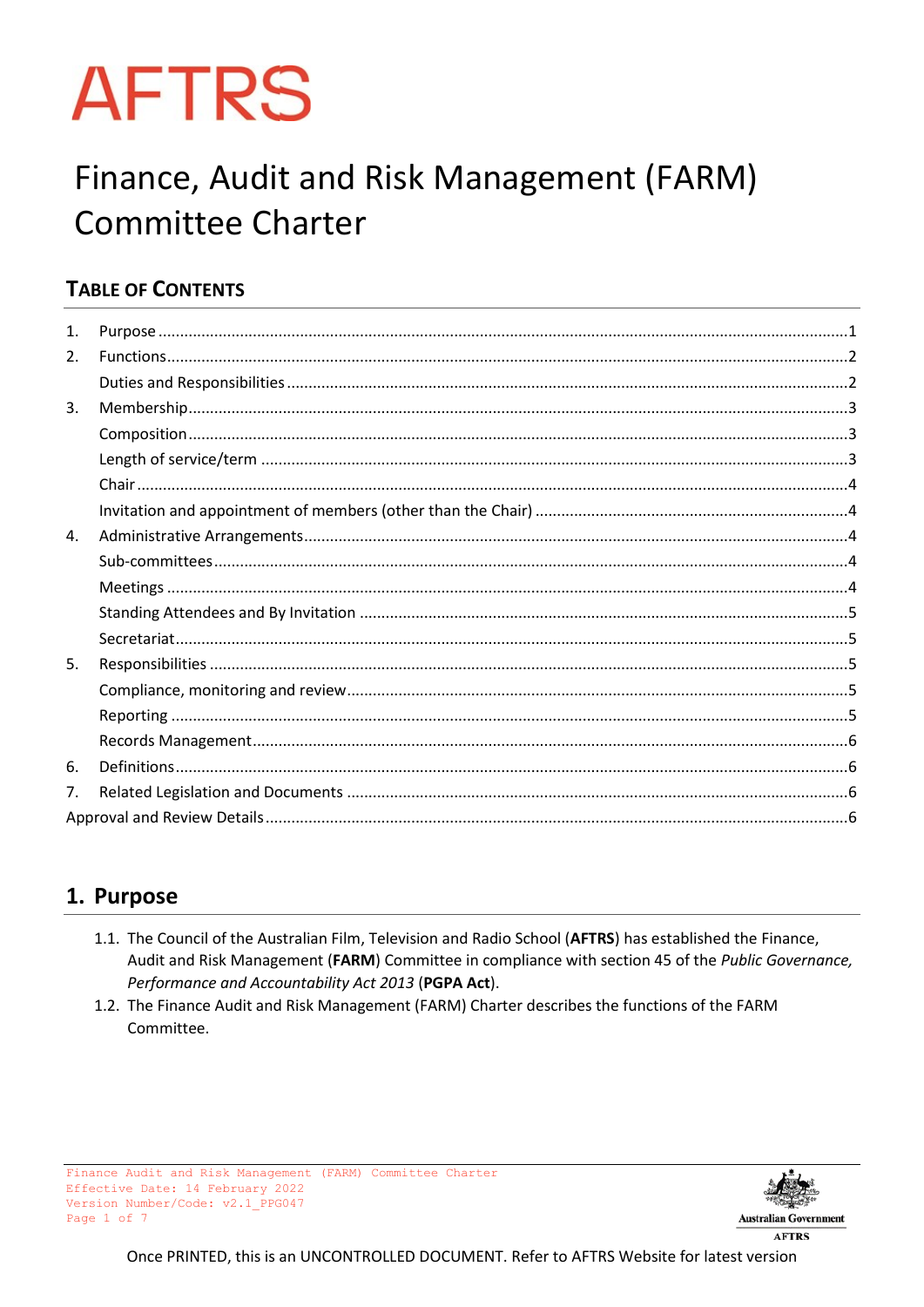# **AFTRS**

# Finance, Audit and Risk Management (FARM) **Committee Charter**

# **TABLE OF CONTENTS**

| 1. |  |  |  |  |
|----|--|--|--|--|
| 2. |  |  |  |  |
|    |  |  |  |  |
| 3. |  |  |  |  |
|    |  |  |  |  |
|    |  |  |  |  |
|    |  |  |  |  |
|    |  |  |  |  |
| 4. |  |  |  |  |
|    |  |  |  |  |
|    |  |  |  |  |
|    |  |  |  |  |
|    |  |  |  |  |
| 5. |  |  |  |  |
|    |  |  |  |  |
|    |  |  |  |  |
|    |  |  |  |  |
| 6. |  |  |  |  |
| 7. |  |  |  |  |
|    |  |  |  |  |

# <span id="page-0-0"></span>1. Purpose

- 1.1. The Council of the Australian Film, Television and Radio School (AFTRS) has established the Finance, Audit and Risk Management (FARM) Committee in compliance with section 45 of the Public Governance, Performance and Accountability Act 2013 (PGPA Act).
- <span id="page-0-1"></span>1.2. The Finance Audit and Risk Management (FARM) Charter describes the functions of the FARM Committee.

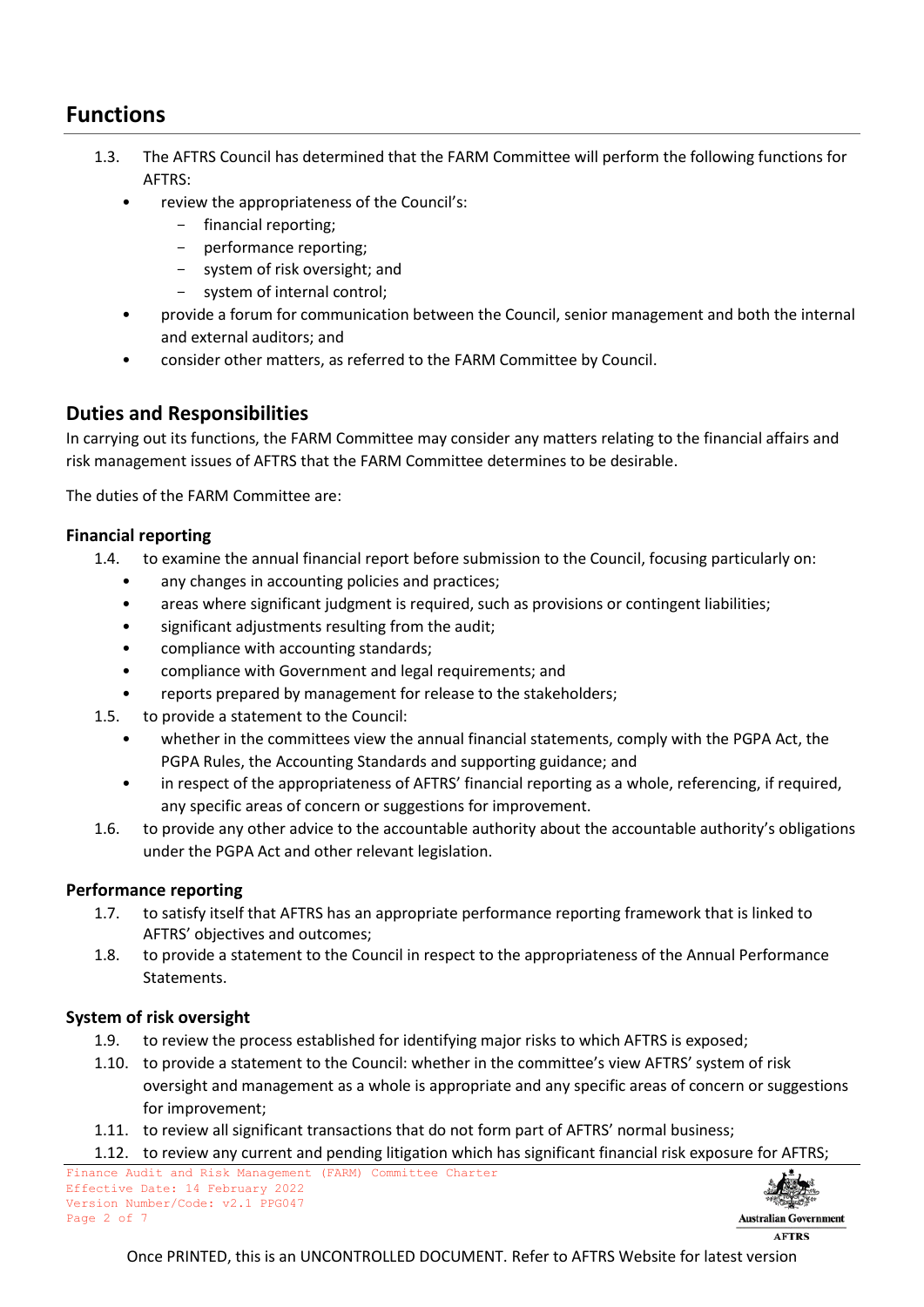# **Functions**

- 1.3. The AFTRS Council has determined that the FARM Committee will perform the following functions for AFTRS:
	- review the appropriateness of the Council's:
		- financial reporting;
		- performance reporting;
		- system of risk oversight; and
		- system of internal control;
	- provide a forum for communication between the Council, senior management and both the internal and external auditors; and
	- consider other matters, as referred to the FARM Committee by Council.

#### <span id="page-1-0"></span>**Duties and Responsibilities**

In carrying out its functions, the FARM Committee may consider any matters relating to the financial affairs and risk management issues of AFTRS that the FARM Committee determines to be desirable.

The duties of the FARM Committee are:

#### **Financial reporting**

- 1.4. to examine the annual financial report before submission to the Council, focusing particularly on:
	- any changes in accounting policies and practices;
	- areas where significant judgment is required, such as provisions or contingent liabilities;
	- significant adjustments resulting from the audit;
	- compliance with accounting standards;
	- compliance with Government and legal requirements; and
	- reports prepared by management for release to the stakeholders;
- 1.5. to provide a statement to the Council:
	- whether in the committees view the annual financial statements, comply with the PGPA Act, the PGPA Rules, the Accounting Standards and supporting guidance; and
	- in respect of the appropriateness of AFTRS' financial reporting as a whole, referencing, if required, any specific areas of concern or suggestions for improvement.
- 1.6. to provide any other advice to the accountable authority about the accountable authority's obligations under the PGPA Act and other relevant legislation.

#### **Performance reporting**

- 1.7. to satisfy itself that AFTRS has an appropriate performance reporting framework that is linked to AFTRS' objectives and outcomes;
- 1.8. to provide a statement to the Council in respect to the appropriateness of the Annual Performance Statements.

#### **System of risk oversight**

- 1.9. to review the process established for identifying major risks to which AFTRS is exposed;
- 1.10. to provide a statement to the Council: whether in the committee's view AFTRS' system of risk oversight and management as a whole is appropriate and any specific areas of concern or suggestions for improvement;
- 1.11. to review all significant transactions that do not form part of AFTRS' normal business;
- 1.12. to review any current and pending litigation which has significant financial risk exposure for AFTRS;



**AFTRS**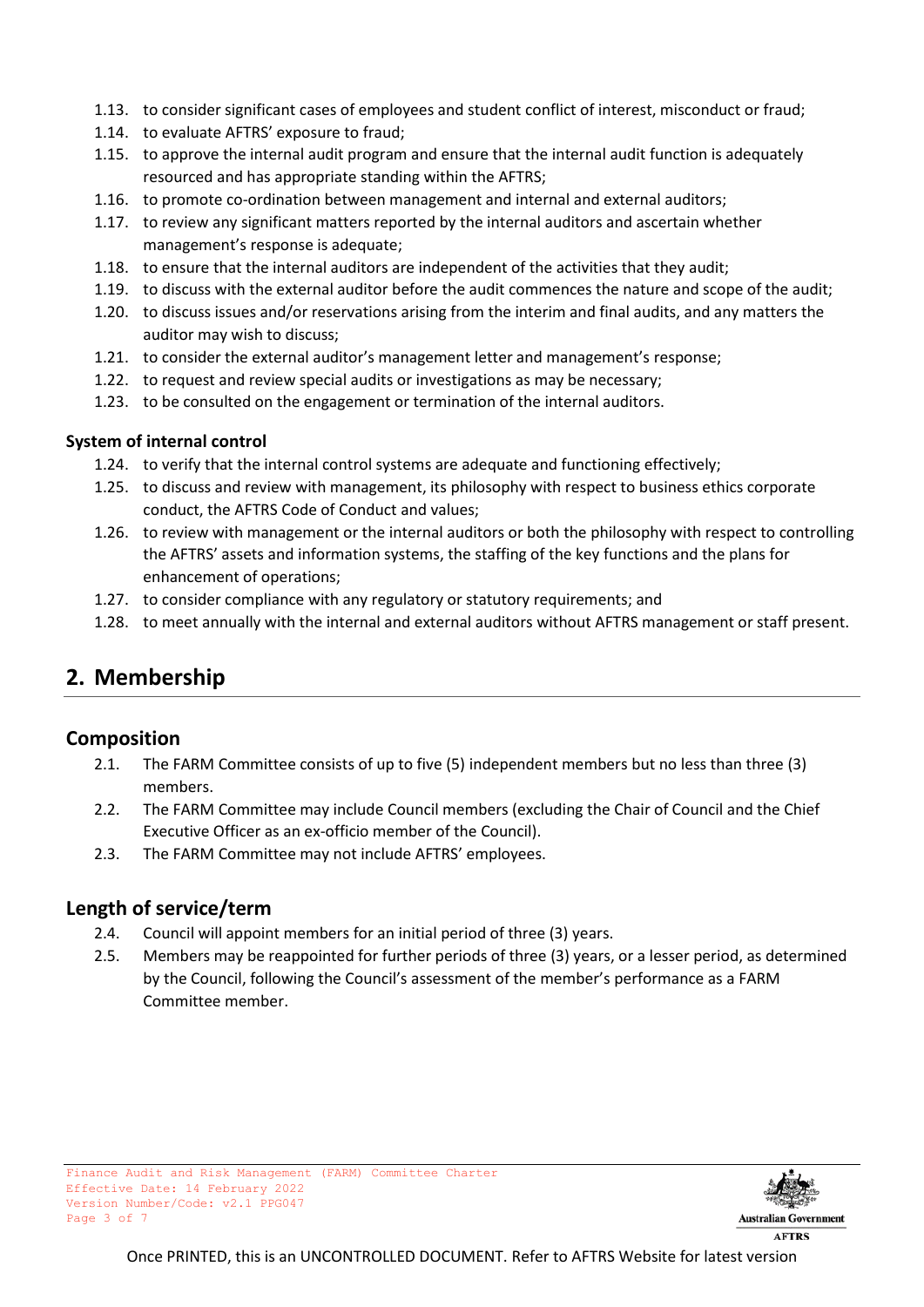- 1.13. to consider significant cases of employees and student conflict of interest, misconduct or fraud;
- 1.14. to evaluate AFTRS' exposure to fraud;
- 1.15. to approve the internal audit program and ensure that the internal audit function is adequately resourced and has appropriate standing within the AFTRS;
- 1.16. to promote co-ordination between management and internal and external auditors;
- 1.17. to review any significant matters reported by the internal auditors and ascertain whether management's response is adequate;
- 1.18. to ensure that the internal auditors are independent of the activities that they audit;
- 1.19. to discuss with the external auditor before the audit commences the nature and scope of the audit;
- 1.20. to discuss issues and/or reservations arising from the interim and final audits, and any matters the auditor may wish to discuss;
- 1.21. to consider the external auditor's management letter and management's response;
- 1.22. to request and review special audits or investigations as may be necessary;
- 1.23. to be consulted on the engagement or termination of the internal auditors.

#### **System of internal control**

- 1.24. to verify that the internal control systems are adequate and functioning effectively;
- 1.25. to discuss and review with management, its philosophy with respect to business ethics corporate conduct, the AFTRS Code of Conduct and values;
- 1.26. to review with management or the internal auditors or both the philosophy with respect to controlling the AFTRS' assets and information systems, the staffing of the key functions and the plans for enhancement of operations;
- 1.27. to consider compliance with any regulatory or statutory requirements; and
- 1.28. to meet annually with the internal and external auditors without AFTRS management or staff present.

# <span id="page-2-0"></span>**2. Membership**

#### <span id="page-2-1"></span>**Composition**

- 2.1. The FARM Committee consists of up to five (5) independent members but no less than three (3) members.
- 2.2. The FARM Committee may include Council members (excluding the Chair of Council and the Chief Executive Officer as an ex-officio member of the Council).
- 2.3. The FARM Committee may not include AFTRS' employees.

#### <span id="page-2-2"></span>**Length of service/term**

- 2.4. Council will appoint members for an initial period of three (3) years.
- 2.5. Members may be reappointed for further periods of three (3) years, or a lesser period, as determined by the Council, following the Council's assessment of the member's performance as a FARM Committee member.

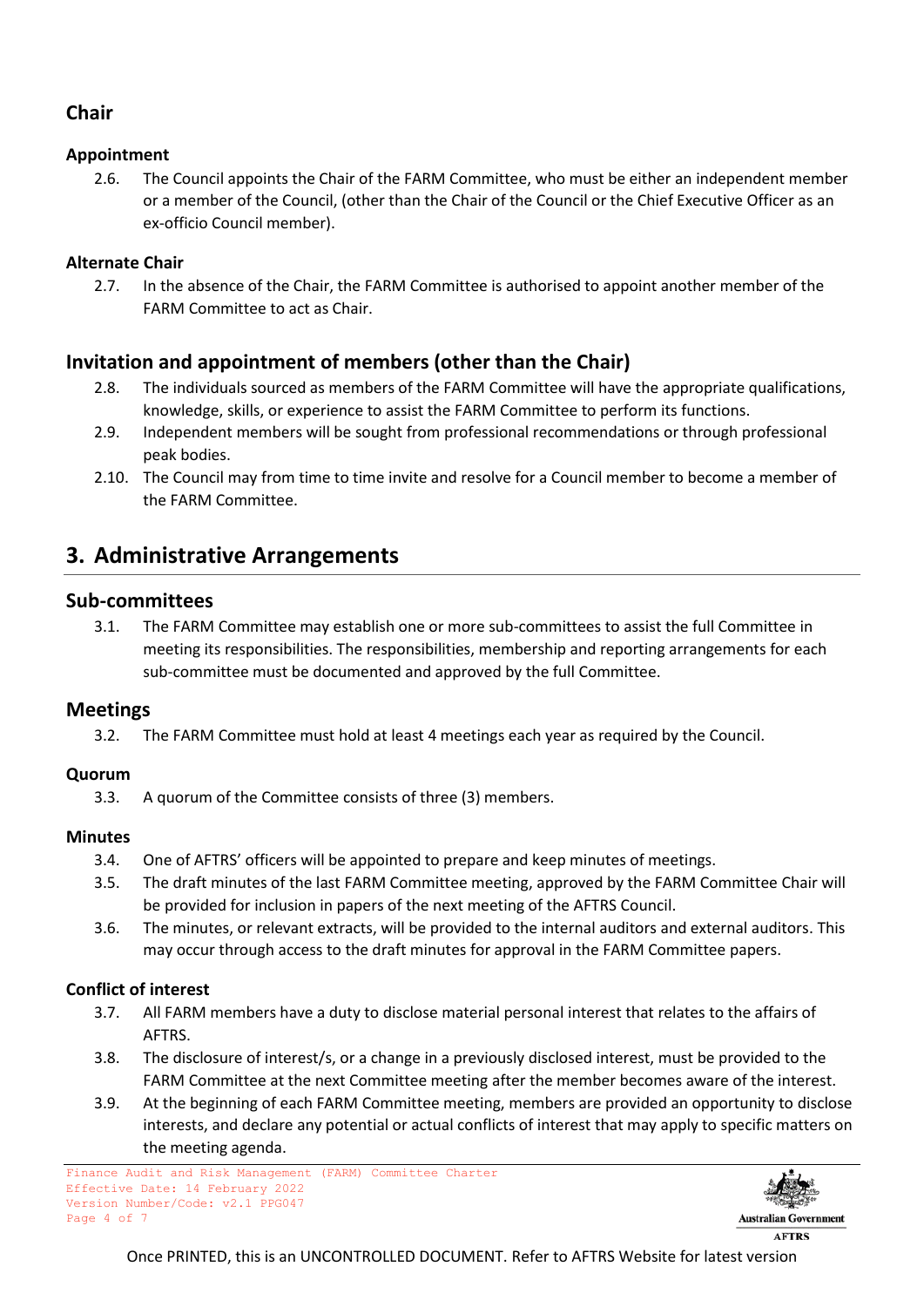# <span id="page-3-0"></span>**Chair**

#### **Appointment**

2.6. The Council appoints the Chair of the FARM Committee, who must be either an independent member or a member of the Council, (other than the Chair of the Council or the Chief Executive Officer as an ex-officio Council member).

#### **Alternate Chair**

2.7. In the absence of the Chair, the FARM Committee is authorised to appoint another member of the FARM Committee to act as Chair.

## <span id="page-3-1"></span>**Invitation and appointment of members (other than the Chair)**

- 2.8. The individuals sourced as members of the FARM Committee will have the appropriate qualifications, knowledge, skills, or experience to assist the FARM Committee to perform its functions.
- 2.9. Independent members will be sought from professional recommendations or through professional peak bodies.
- 2.10. The Council may from time to time invite and resolve for a Council member to become a member of the FARM Committee.

# <span id="page-3-2"></span>**3. Administrative Arrangements**

#### <span id="page-3-3"></span>**Sub-committees**

3.1. The FARM Committee may establish one or more sub-committees to assist the full Committee in meeting its responsibilities. The responsibilities, membership and reporting arrangements for each sub-committee must be documented and approved by the full Committee.

#### <span id="page-3-4"></span>**Meetings**

3.2. The FARM Committee must hold at least 4 meetings each year as required by the Council.

#### **Quorum**

3.3. A quorum of the Committee consists of three (3) members.

#### **Minutes**

- 3.4. One of AFTRS' officers will be appointed to prepare and keep minutes of meetings.
- 3.5. The draft minutes of the last FARM Committee meeting, approved by the FARM Committee Chair will be provided for inclusion in papers of the next meeting of the AFTRS Council.
- 3.6. The minutes, or relevant extracts, will be provided to the internal auditors and external auditors. This may occur through access to the draft minutes for approval in the FARM Committee papers.

#### **Conflict of interest**

- 3.7. All FARM members have a duty to disclose material personal interest that relates to the affairs of AFTRS.
- 3.8. The disclosure of interest/s, or a change in a previously disclosed interest, must be provided to the FARM Committee at the next Committee meeting after the member becomes aware of the interest.
- 3.9. At the beginning of each FARM Committee meeting, members are provided an opportunity to disclose interests, and declare any potential or actual conflicts of interest that may apply to specific matters on the meeting agenda.

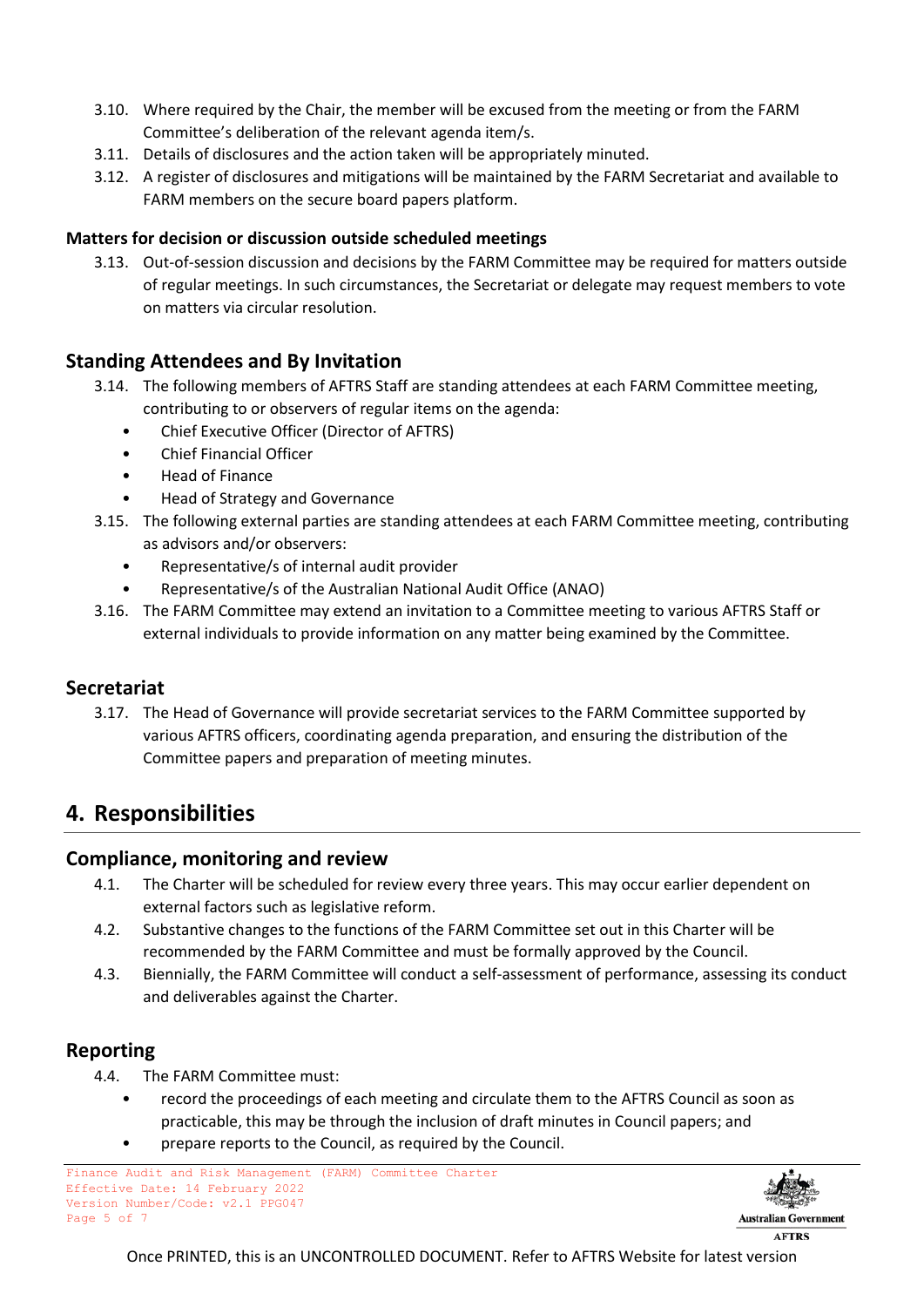- 3.10. Where required by the Chair, the member will be excused from the meeting or from the FARM Committee's deliberation of the relevant agenda item/s.
- 3.11. Details of disclosures and the action taken will be appropriately minuted.
- 3.12. A register of disclosures and mitigations will be maintained by the FARM Secretariat and available to FARM members on the secure board papers platform.

#### **Matters for decision or discussion outside scheduled meetings**

3.13. Out-of-session discussion and decisions by the FARM Committee may be required for matters outside of regular meetings. In such circumstances, the Secretariat or delegate may request members to vote on matters via circular resolution.

#### <span id="page-4-0"></span>**Standing Attendees and By Invitation**

- 3.14. The following members of AFTRS Staff are standing attendees at each FARM Committee meeting, contributing to or observers of regular items on the agenda:
	- Chief Executive Officer (Director of AFTRS)
	- Chief Financial Officer
	- Head of Finance
	- Head of Strategy and Governance
- 3.15. The following external parties are standing attendees at each FARM Committee meeting, contributing as advisors and/or observers:
	- Representative/s of internal audit provider
	- Representative/s of the Australian National Audit Office (ANAO)
- 3.16. The FARM Committee may extend an invitation to a Committee meeting to various AFTRS Staff or external individuals to provide information on any matter being examined by the Committee.

#### <span id="page-4-1"></span>**Secretariat**

3.17. The Head of Governance will provide secretariat services to the FARM Committee supported by various AFTRS officers, coordinating agenda preparation, and ensuring the distribution of the Committee papers and preparation of meeting minutes.

## <span id="page-4-2"></span>**4. Responsibilities**

#### <span id="page-4-3"></span>**Compliance, monitoring and review**

- 4.1. The Charter will be scheduled for review every three years. This may occur earlier dependent on external factors such as legislative reform.
- 4.2. Substantive changes to the functions of the FARM Committee set out in this Charter will be recommended by the FARM Committee and must be formally approved by the Council.
- 4.3. Biennially, the FARM Committee will conduct a self-assessment of performance, assessing its conduct and deliverables against the Charter.

#### <span id="page-4-4"></span>**Reporting**

- 4.4. The FARM Committee must:
	- record the proceedings of each meeting and circulate them to the AFTRS Council as soon as practicable, this may be through the inclusion of draft minutes in Council papers; and
	- prepare reports to the Council, as required by the Council.

Finance Audit and Risk Management (FARM) Committee Charter Effective Date: 14 February 2022 Version Number/Code: v2.1 PPG047 Page 5 of 7

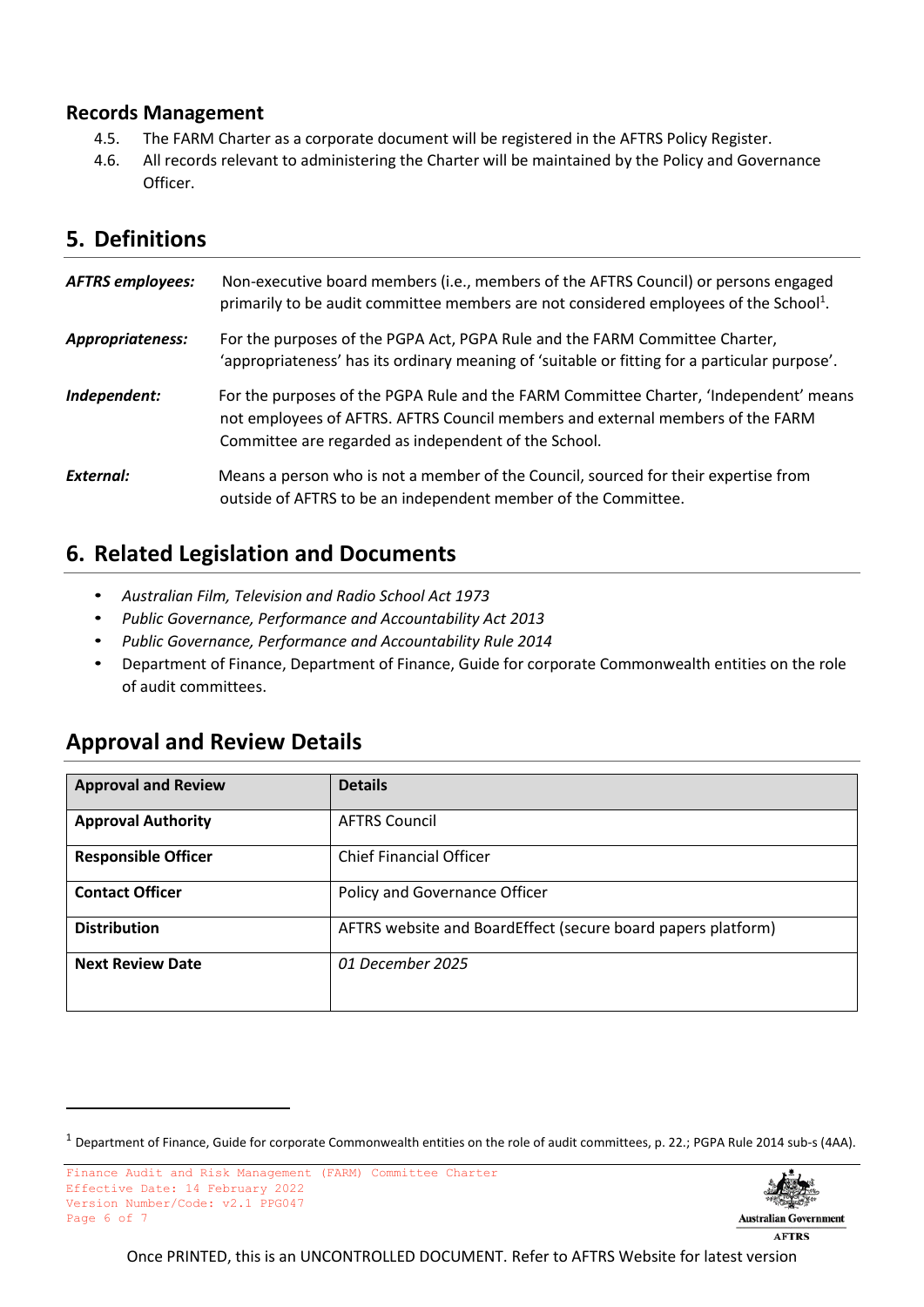#### <span id="page-5-0"></span>**Records Management**

- 4.5. The FARM Charter as a corporate document will be registered in the AFTRS Policy Register.
- 4.6. All records relevant to administering the Charter will be maintained by the Policy and Governance Officer.

# <span id="page-5-1"></span>**5. Definitions**

| <b>AFTRS employees:</b> | Non-executive board members (i.e., members of the AFTRS Council) or persons engaged<br>primarily to be audit committee members are not considered employees of the School <sup>1</sup> .                                        |
|-------------------------|---------------------------------------------------------------------------------------------------------------------------------------------------------------------------------------------------------------------------------|
| Appropriateness:        | For the purposes of the PGPA Act, PGPA Rule and the FARM Committee Charter,<br>'appropriateness' has its ordinary meaning of 'suitable or fitting for a particular purpose'.                                                    |
| Independent:            | For the purposes of the PGPA Rule and the FARM Committee Charter, 'Independent' means<br>not employees of AFTRS. AFTRS Council members and external members of the FARM<br>Committee are regarded as independent of the School. |
| External:               | Means a person who is not a member of the Council, sourced for their expertise from<br>outside of AFTRS to be an independent member of the Committee.                                                                           |

# <span id="page-5-2"></span>**6. Related Legislation and Documents**

- *Australian Film, Television and Radio School Act 1973*
- *Public Governance, Performance and Accountability Act 2013*
- *Public Governance, Performance and Accountability Rule 2014*
- Department of Finance, Department of Finance, Guide for corporate Commonwealth entities on the role of audit committees.

# <span id="page-5-3"></span>**Approval and Review Details**

| <b>Approval and Review</b> | <b>Details</b>                                               |
|----------------------------|--------------------------------------------------------------|
| <b>Approval Authority</b>  | <b>AFTRS Council</b>                                         |
| <b>Responsible Officer</b> | <b>Chief Financial Officer</b>                               |
| <b>Contact Officer</b>     | Policy and Governance Officer                                |
| <b>Distribution</b>        | AFTRS website and BoardEffect (secure board papers platform) |
| <b>Next Review Date</b>    | 01 December 2025                                             |

 $1$  Department of Finance, Guide for corporate Commonwealth entities on the role of audit committees, p. 22.; PGPA Rule 2014 sub-s (4AA).